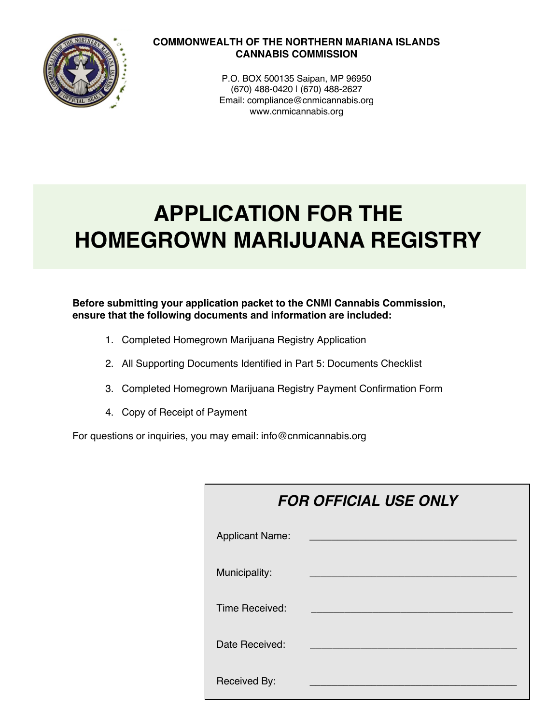

## **COMMONWEALTH OF THE NORTHERN MARIANA ISLANDS CANNABIS COMMISSION**

P.O. BOX 500135 Saipan, MP 96950 (670) 488-0420 | (670) 488-2627 Email: compliance@cnmicannabis.org www.cnmicannabis.org

# **APPLICATION FOR THE HOMEGROWN MARIJUANA REGISTRY**

## **Before submitting your application packet to the CNMI Cannabis Commission, ensure that the following documents and information are included:**

- 1. Completed Homegrown Marijuana Registry Application
- 2. All Supporting Documents Identified in Part 5: Documents Checklist
- 3. Completed Homegrown Marijuana Registry Payment Confirmation Form
- 4. Copy of Receipt of Payment

For questions or inquiries, you may email: info@cnmicannabis.org

| <b>FOR OFFICIAL USE ONLY</b> |  |  |
|------------------------------|--|--|
| <b>Applicant Name:</b>       |  |  |
| Municipality:                |  |  |
| Time Received:               |  |  |
| Date Received:               |  |  |
| Received By:                 |  |  |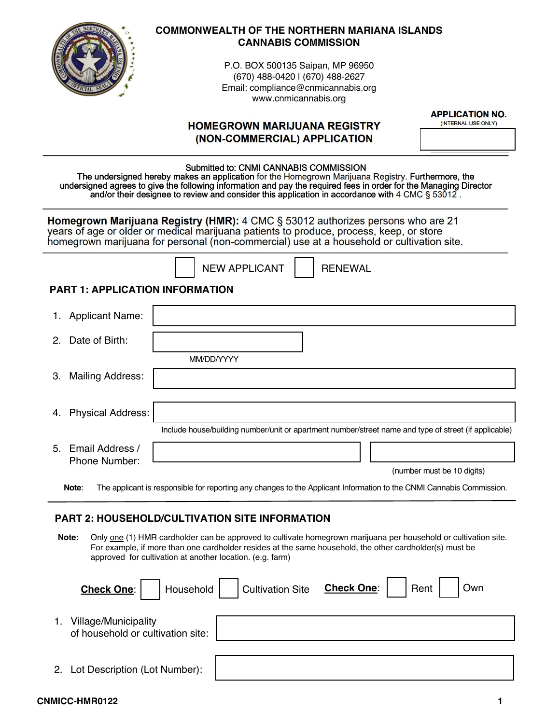

## **COMMONWEALTH OF THE NORTHERN MARIANA ISLANDS CANNABIS COMMISSION**

P.O. BOX 500135 Saipan, MP 96950 (670) 488-0420 | (670) 488-2627 Email: compliance@cnmicannabis.org www.cnmicannabis.org

| <b>APPLICATION NO.</b> |
|------------------------|
|------------------------|

|                                        | <b>HOMEGROWN MARIJUANA REGISTRY</b>                                                                                                                                                                                                                                                                                                                                  | <b>APPLICATION NO.</b><br>(INTERNAL USE ONLY) |
|----------------------------------------|----------------------------------------------------------------------------------------------------------------------------------------------------------------------------------------------------------------------------------------------------------------------------------------------------------------------------------------------------------------------|-----------------------------------------------|
|                                        | (NON-COMMERCIAL) APPLICATION                                                                                                                                                                                                                                                                                                                                         |                                               |
|                                        | Submitted to: CNMI CANNABIS COMMISSION<br>The undersigned hereby makes an application for the Homegrown Marijuana Registry. Furthermore, the<br>undersigned agrees to give the following information and pay the required fees in order for the Managing Director<br>and/or their designee to review and consider this application in accordance with 4 CMC § 53012. |                                               |
|                                        | Homegrown Marijuana Registry (HMR): 4 CMC § 53012 authorizes persons who are 21<br>years of age or older or medical marijuana patients to produce, process, keep, or store<br>homegrown marijuana for personal (non-commercial) use at a household or cultivation site.                                                                                              |                                               |
|                                        | <b>NEW APPLICANT</b><br><b>RENEWAL</b>                                                                                                                                                                                                                                                                                                                               |                                               |
| <b>PART 1: APPLICATION INFORMATION</b> |                                                                                                                                                                                                                                                                                                                                                                      |                                               |
| <b>Applicant Name:</b><br>1.           |                                                                                                                                                                                                                                                                                                                                                                      |                                               |
| Date of Birth:<br>2.                   |                                                                                                                                                                                                                                                                                                                                                                      |                                               |
|                                        | MM/DD/YYYY                                                                                                                                                                                                                                                                                                                                                           |                                               |
| Mailing Address:<br>3.                 |                                                                                                                                                                                                                                                                                                                                                                      |                                               |
| <b>Physical Address:</b><br>4.         |                                                                                                                                                                                                                                                                                                                                                                      |                                               |
|                                        | Include house/building number/unit or apartment number/street name and type of street (if applicable)                                                                                                                                                                                                                                                                |                                               |
| Email Address /<br>$5^{\circ}$         |                                                                                                                                                                                                                                                                                                                                                                      |                                               |
|                                        |                                                                                                                                                                                                                                                                                                                                                                      |                                               |
| Phone Number:                          |                                                                                                                                                                                                                                                                                                                                                                      | (number must be 10 digits)                    |

## **PART 2: HOUSEHOLD/CULTIVATION SITE INFORMATION**

Note: Only one (1) HMR cardholder can be approved to cultivate homegrown marijuana per household or cultivation site. For example, if more than one cardholder resides at the same household, the other cardholder(s) must be approved for cultivation at another location. (e.g. farm)

|    | Check One: I                                                     | Household   Cultivation Site Check One: | Rent | Own |  |
|----|------------------------------------------------------------------|-----------------------------------------|------|-----|--|
| 1. | <b>Village/Municipality</b><br>of household or cultivation site: |                                         |      |     |  |
|    | 2. Lot Description (Lot Number):                                 |                                         |      |     |  |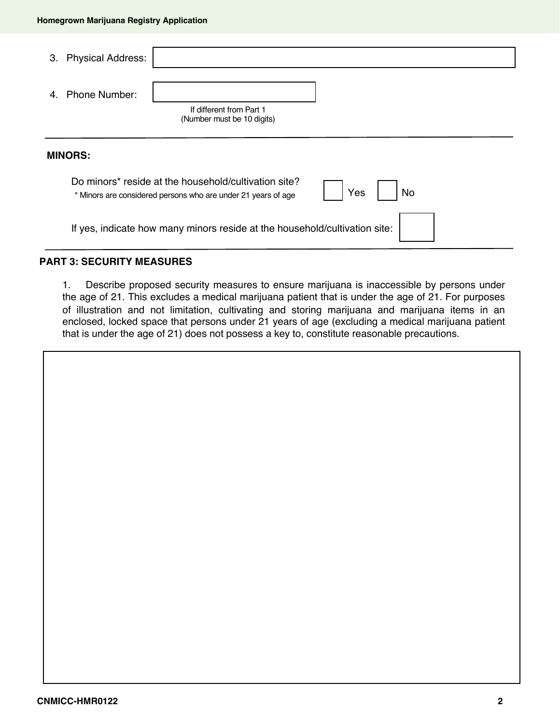| З. | <b>Physical Address:</b> |                                                                                                                       |     |    |
|----|--------------------------|-----------------------------------------------------------------------------------------------------------------------|-----|----|
|    | 4. Phone Number:         | If different from Part 1<br>(Number must be 10 digits)                                                                |     |    |
|    | <b>MINORS:</b>           |                                                                                                                       |     |    |
|    |                          | Do minors* reside at the household/cultivation site?<br>* Minors are considered persons who are under 21 years of age | Yes | No |
|    |                          | If yes, indicate how many minors reside at the household/cultivation site:                                            |     |    |

## **PART 3: SECURITY MEASURES**

1. Describe proposed security measures to ensure marijuana is inaccessible by persons under the age of 21. This excludes a medical marijuana patient that is under the age of 21. For purposes of illustration and not limitation, cultivating and storing marijuana and marijuana items in an enclosed, locked space that persons under 21 years of age (excluding a medical marijuana patient that is under the age of 21) does not possess a key to, constitute reasonable precautions.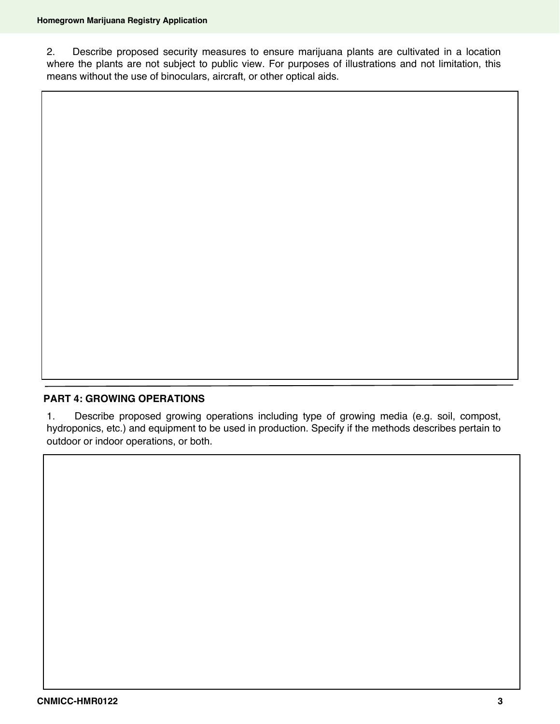2. Describe proposed security measures to ensure marijuana plants are cultivated in a location where the plants are not subject to public view. For purposes of illustrations and not limitation, this means without the use of binoculars, aircraft, or other optical aids.

## **PART 4: GROWING OPERATIONS**

1. Describe proposed growing operations including type of growing media (e.g. soil, compost, hydroponics, etc.) and equipment to be used in production. Specify if the methods describes pertain to outdoor or indoor operations, or both.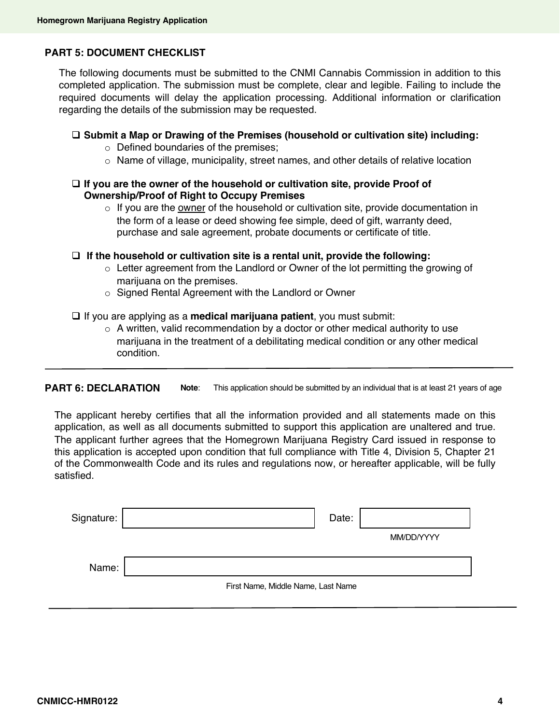## **PART 5: DOCUMENT CHECKLIST**

The following documents must be submitted to the CNMI Cannabis Commission in addition to this completed application. The submission must be complete, clear and legible. Failing to include the required documents will delay the application processing. Additional information or clarification regarding the details of the submission may be requested.

## □ Submit a Map or Drawing of the Premises (household or cultivation site) including:

- o Defined boundaries of the premises;
- o Name of village, municipality, street names, and other details of relative location

## □ If you are the owner of the household or cultivation site, provide Proof of **Ownership/Proof of Right to Occupy Premises**

 $\circ$  If you are the owner of the household or cultivation site, provide documentation in the form of a lease or deed showing fee simple, deed of gift, warranty deed, purchase and sale agreement, probate documents or certificate of title.

□ If the household or cultivation site is a rental unit, provide the following:

- $\circ$  Letter agreement from the Landlord or Owner of the lot permitting the growing of marijuana on the premises.
- o Signed Rental Agreement with the Landlord or Owner
- □ If you are applying as a **medical marijuana patient**, you must submit:
	- $\circ$  A written, valid recommendation by a doctor or other medical authority to use marijuana in the treatment of a debilitating medical condition or any other medical condition.

**PART 6: DECLARATION Note**: This application should be submitted by an individual that is at least 21 years of age

The applicant hereby certifies that all the information provided and all statements made on this application, as well as all documents submitted to support this application are unaltered and true. The applicant further agrees that the Homegrown Marijuana Registry Card issued in response to this application is accepted upon condition that full compliance with Title 4, Division 5, Chapter 21 of the Commonwealth Code and its rules and regulations now, or hereafter applicable, will be fully satisfied.

| Signature: |                                    | Date: |            |
|------------|------------------------------------|-------|------------|
|            |                                    |       | MM/DD/YYYY |
| Name:      |                                    |       |            |
|            | First Name, Middle Name, Last Name |       |            |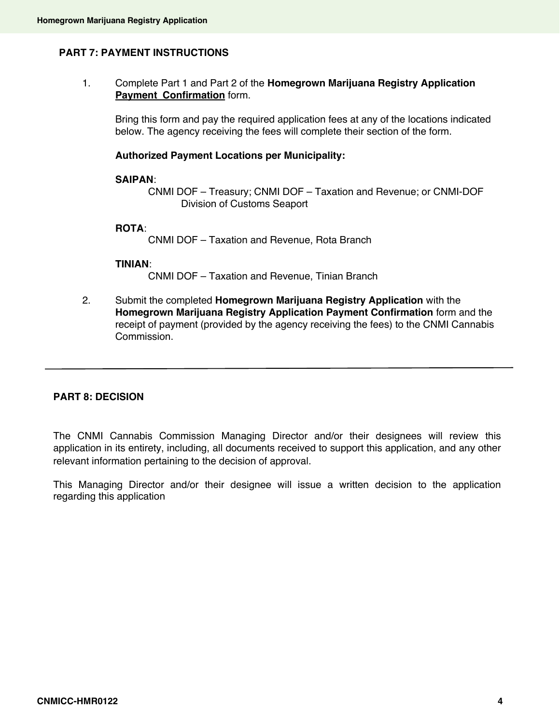## **PART 7: PAYMENT INSTRUCTIONS**

1. Complete Part 1 and Part 2 of the **Homegrown Marijuana Registry Application Payment Confirmation** form.

Bring this form and pay the required application fees at any of the locations indicated below. The agency receiving the fees will complete their section of the form.

#### **Authorized Payment Locations per Municipality:**

#### **SAIPAN**:

CNMI DOF – Treasury; CNMI DOF – Taxation and Revenue; or CNMI-DOF Division of Customs Seaport

#### **ROTA**:

CNMI DOF – Taxation and Revenue, Rota Branch

#### **TINIAN**:

CNMI DOF – Taxation and Revenue, Tinian Branch

2. Submit the completed **Homegrown Marijuana Registry Application** with the **Homegrown Marijuana Registry Application Payment Confirmation** form and the receipt of payment (provided by the agency receiving the fees) to the CNMI Cannabis Commission.

#### **PART 8: DECISION**

The CNMI Cannabis Commission Managing Director and/or their designees will review this application in its entirety, including, all documents received to support this application, and any other relevant information pertaining to the decision of approval.

This Managing Director and/or their designee will issue a written decision to the application regarding this application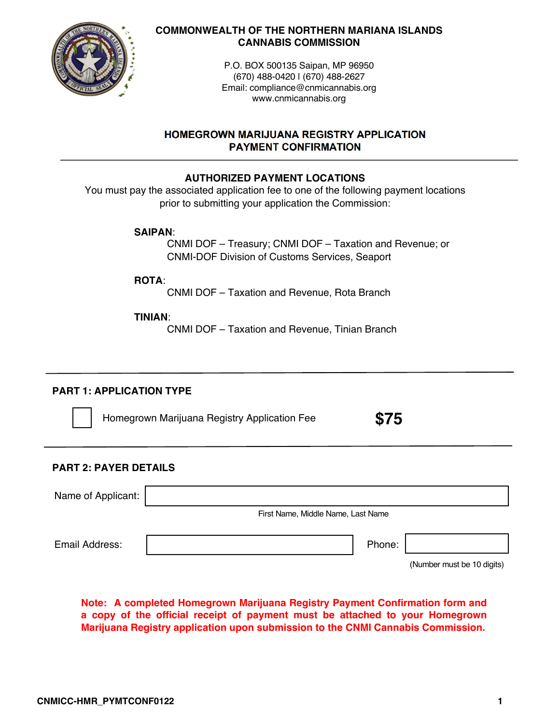

## **COMMONWEALTH OF THE NORTHERN MARIANA ISLANDS CANNABIS COMMISSION**

P.O. BOX 500135 Saipan, MP 96950 (670) 488-0420 | (670) 488-2627 Email: compliance@cnmicannabis.org www.cnmicannabis.org

## **HOMEGROWN MARIJUANA REGISTRY APPLICATION PAYMENT CONFIRMATION**

## **AUTHORIZED PAYMENT LOCATIONS**

You must pay the associated application fee to one of the following payment locations prior to submitting your application the Commission:

**SAIPAN**:

CNMI DOF – Treasury; CNMI DOF – Taxation and Revenue; or CNMI-DOF Division of Customs Services, Seaport

**ROTA**:

CNMI DOF – Taxation and Revenue, Rota Branch

## **TINIAN**:

CNMI DOF – Taxation and Revenue, Tinian Branch

## **PART 1: APPLICATION TYPE**

Homegrown Marijuana Registry Application Fee

**\$75**

## **PART 2: PAYER DETAILS**

| Name of Applicant: |                                    |        |  |
|--------------------|------------------------------------|--------|--|
|                    | First Name, Middle Name, Last Name |        |  |
| Email Address:     |                                    | Phone: |  |

(Number must be 10 digits)

**Note: A completed Homegrown Marijuana Registry Payment Confirmation form and a copy of the official receipt of payment must be attached to your Homegrown Marijuana Registry application upon submission to the CNMI Cannabis Commission.**